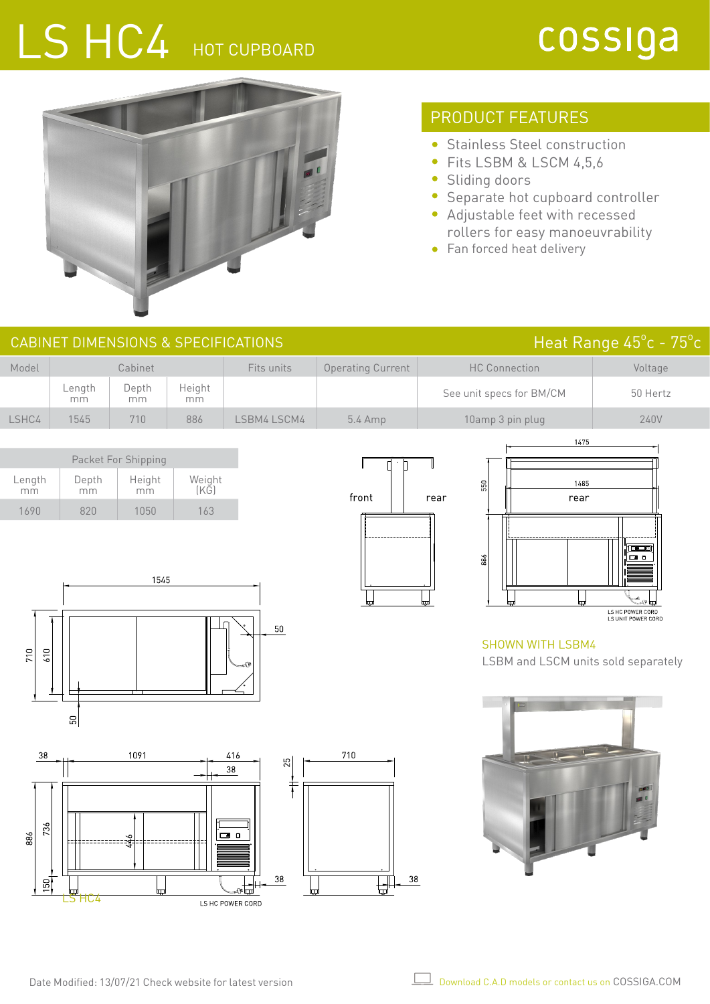# LS HC4 HOT CUPBOARD

## cossiga

Heat Range 45°c - 75°c



## PRODUCT FEATURES

- Stainless Steel construction  $\bullet$
- $\bullet$ Fits LSBM & LSCM 4,5,6
- Sliding doors
- Separate hot cupboard controller  $\bullet$
- Adjustable feet with recessed rollers for easy manoeuvrability
- Fan forced heat delivery

| CABINET DIMENSIONS & SPECIFICATIONS |  |
|-------------------------------------|--|
|                                     |  |

| Model | Cabinet      |             | Fits units   | <b>Operating Current</b> | <b>HC Connection</b> | Voltage                  |          |
|-------|--------------|-------------|--------------|--------------------------|----------------------|--------------------------|----------|
|       | Lenath<br>mm | Depth<br>mm | Height<br>mm |                          |                      | See unit specs for BM/CM | 50 Hertz |
| LSHC4 | 1545         | 710         | 886          | LSBM4 LSCM4              | $5.4$ Amp            | 10amp 3 pin plug         | 240V     |

| Packet For Shipping |             |              |                |  |  |  |  |
|---------------------|-------------|--------------|----------------|--|--|--|--|
| Length<br>mm        | Depth<br>mm | Height<br>mm | Weight<br>(KG) |  |  |  |  |
| 1690                | 820         | 1050         | 163            |  |  |  |  |





#### SHOWN WITH LSBM4 LSBM and LSCM units sold separately







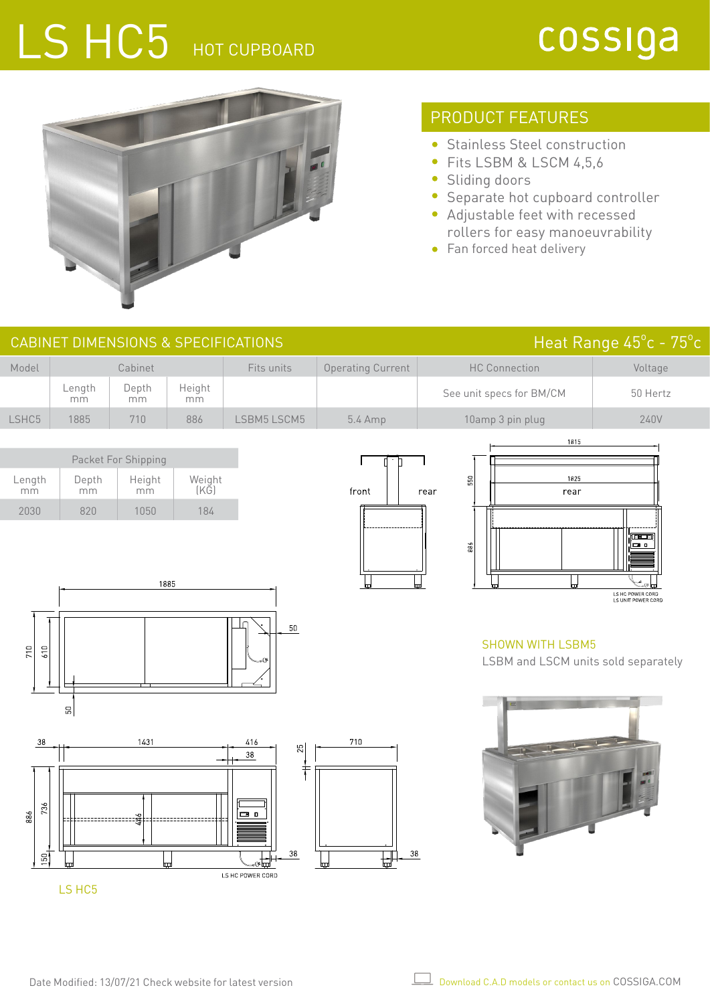# LS HC5 HOT CUPBOARD

## cossiga



### PRODUCT FEATURES

- Stainless Steel construction
- Fits LSBM & LSCM 4,5,6
- Sliding doors
- Separate hot cupboard controller
- Adjustable feet with recessed rollers for easy manoeuvrability
- Fan forced heat delivery

| <b>CABINET DIMENSIONS &amp; SPECIFICATIONS</b>                |                                            |                                                                        |                       |                                                                                                       |                                                 |                                                                                                              | Heat Range 45°c - 75°c                                        |
|---------------------------------------------------------------|--------------------------------------------|------------------------------------------------------------------------|-----------------------|-------------------------------------------------------------------------------------------------------|-------------------------------------------------|--------------------------------------------------------------------------------------------------------------|---------------------------------------------------------------|
| Model                                                         |                                            | Cabinet                                                                |                       | Fits units                                                                                            | <b>Operating Current</b>                        | <b>HC Connection</b>                                                                                         | Voltage                                                       |
|                                                               | Length<br>mm                               | Depth<br>mm                                                            | Height<br>mm          |                                                                                                       |                                                 | See unit specs for BM/CM                                                                                     | 50 Hertz                                                      |
| LSHC5                                                         | 1885                                       | 710                                                                    | 886                   | LSBM5 LSCM5                                                                                           | 5.4 Amp                                         | 10amp 3 pin plug                                                                                             | 240V                                                          |
| Length<br>mm<br>2030<br>710<br>610<br>38<br>736<br>886<br>150 | Depth<br>mm<br>820<br>${\tt S0}$<br>LS HC5 | Packet For Shipping<br>Height<br>mm<br>1050<br>1885<br>1431<br>44<br>Ш | Weight<br>(KG)<br>184 | $50\,$<br>416<br>$\frac{25}{25}$<br>38<br>$\pm$<br>$\Box$ $\Box$<br>$38\,$<br>⊕⊞ա<br>LS HC POWER CORD | ÷h<br>П<br>front<br>710<br>$38\,$<br>₩<br>لتيتا | 1815<br>1825<br>550<br>rear<br>rear<br>886<br><b>SHOWN WITH LSBM5</b><br>LSBM and LSCM units sold separately | [01]<br><b>ca</b> o<br>LS HC POWER CORD<br>LS UNIT POWER CORD |
|                                                               |                                            |                                                                        |                       |                                                                                                       |                                                 |                                                                                                              |                                                               |